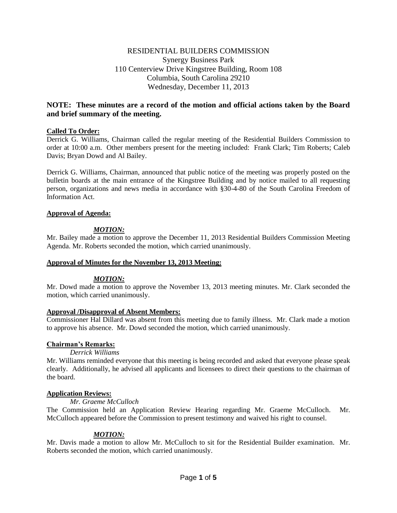# RESIDENTIAL BUILDERS COMMISSION Synergy Business Park 110 Centerview Drive Kingstree Building, Room 108 Columbia, South Carolina 29210 Wednesday, December 11, 2013

# **NOTE: These minutes are a record of the motion and official actions taken by the Board and brief summary of the meeting.**

# **Called To Order:**

Derrick G. Williams, Chairman called the regular meeting of the Residential Builders Commission to order at 10:00 a.m. Other members present for the meeting included: Frank Clark; Tim Roberts; Caleb Davis; Bryan Dowd and Al Bailey.

Derrick G. Williams, Chairman, announced that public notice of the meeting was properly posted on the bulletin boards at the main entrance of the Kingstree Building and by notice mailed to all requesting person, organizations and news media in accordance with §30-4-80 of the South Carolina Freedom of Information Act.

# **Approval of Agenda:**

# *MOTION:*

Mr. Bailey made a motion to approve the December 11, 2013 Residential Builders Commission Meeting Agenda. Mr. Roberts seconded the motion, which carried unanimously.

# **Approval of Minutes for the November 13, 2013 Meeting:**

# *MOTION:*

Mr. Dowd made a motion to approve the November 13, 2013 meeting minutes. Mr. Clark seconded the motion, which carried unanimously.

# **Approval /Disapproval of Absent Members:**

Commissioner Hal Dillard was absent from this meeting due to family illness. Mr. Clark made a motion to approve his absence. Mr. Dowd seconded the motion, which carried unanimously.

# **Chairman's Remarks:**

*Derrick Williams*

Mr. Williams reminded everyone that this meeting is being recorded and asked that everyone please speak clearly. Additionally, he advised all applicants and licensees to direct their questions to the chairman of the board.

# **Application Reviews:**

*Mr. Graeme McCulloch*

The Commission held an Application Review Hearing regarding Mr. Graeme McCulloch. Mr. McCulloch appeared before the Commission to present testimony and waived his right to counsel.

# *MOTION:*

Mr. Davis made a motion to allow Mr. McCulloch to sit for the Residential Builder examination. Mr. Roberts seconded the motion, which carried unanimously.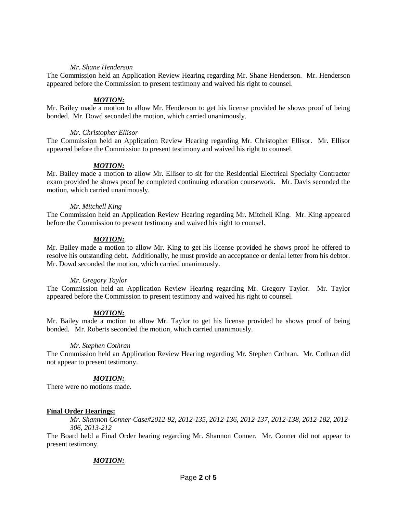#### *Mr. Shane Henderson*

The Commission held an Application Review Hearing regarding Mr. Shane Henderson. Mr. Henderson appeared before the Commission to present testimony and waived his right to counsel.

#### *MOTION:*

Mr. Bailey made a motion to allow Mr. Henderson to get his license provided he shows proof of being bonded. Mr. Dowd seconded the motion, which carried unanimously.

#### *Mr. Christopher Ellisor*

The Commission held an Application Review Hearing regarding Mr. Christopher Ellisor. Mr. Ellisor appeared before the Commission to present testimony and waived his right to counsel.

#### *MOTION:*

Mr. Bailey made a motion to allow Mr. Ellisor to sit for the Residential Electrical Specialty Contractor exam provided he shows proof he completed continuing education coursework. Mr. Davis seconded the motion, which carried unanimously.

#### *Mr. Mitchell King*

The Commission held an Application Review Hearing regarding Mr. Mitchell King. Mr. King appeared before the Commission to present testimony and waived his right to counsel.

#### *MOTION:*

Mr. Bailey made a motion to allow Mr. King to get his license provided he shows proof he offered to resolve his outstanding debt. Additionally, he must provide an acceptance or denial letter from his debtor. Mr. Dowd seconded the motion, which carried unanimously.

#### *Mr. Gregory Taylor*

The Commission held an Application Review Hearing regarding Mr. Gregory Taylor. Mr. Taylor appeared before the Commission to present testimony and waived his right to counsel.

# *MOTION:*

Mr. Bailey made a motion to allow Mr. Taylor to get his license provided he shows proof of being bonded. Mr. Roberts seconded the motion, which carried unanimously.

#### *Mr. Stephen Cothran*

The Commission held an Application Review Hearing regarding Mr. Stephen Cothran. Mr. Cothran did not appear to present testimony.

# *MOTION:*

There were no motions made.

# **Final Order Hearings:**

*Mr. Shannon Conner-Case#2012-92, 2012-135, 2012-136, 2012-137, 2012-138, 2012-182, 2012- 306, 2013-212*

The Board held a Final Order hearing regarding Mr. Shannon Conner. Mr. Conner did not appear to present testimony.

# *MOTION:*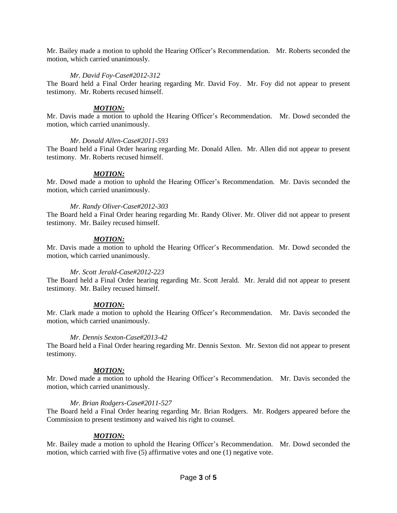Mr. Bailey made a motion to uphold the Hearing Officer's Recommendation. Mr. Roberts seconded the motion, which carried unanimously.

# *Mr. David Foy-Case#2012-312*

The Board held a Final Order hearing regarding Mr. David Foy. Mr. Foy did not appear to present testimony. Mr. Roberts recused himself.

# *MOTION:*

Mr. Davis made a motion to uphold the Hearing Officer's Recommendation. Mr. Dowd seconded the motion, which carried unanimously.

# *Mr. Donald Allen-Case#2011-593*

The Board held a Final Order hearing regarding Mr. Donald Allen. Mr. Allen did not appear to present testimony. Mr. Roberts recused himself.

# *MOTION:*

Mr. Dowd made a motion to uphold the Hearing Officer's Recommendation. Mr. Davis seconded the motion, which carried unanimously.

# *Mr. Randy Oliver-Case#2012-303*

The Board held a Final Order hearing regarding Mr. Randy Oliver. Mr. Oliver did not appear to present testimony. Mr. Bailey recused himself.

# *MOTION:*

Mr. Davis made a motion to uphold the Hearing Officer's Recommendation. Mr. Dowd seconded the motion, which carried unanimously.

# *Mr. Scott Jerald-Case#2012-223*

The Board held a Final Order hearing regarding Mr. Scott Jerald. Mr. Jerald did not appear to present testimony. Mr. Bailey recused himself.

# *MOTION:*

Mr. Clark made a motion to uphold the Hearing Officer's Recommendation. Mr. Davis seconded the motion, which carried unanimously.

# *Mr. Dennis Sexton-Case#2013-42*

The Board held a Final Order hearing regarding Mr. Dennis Sexton. Mr. Sexton did not appear to present testimony.

# *MOTION:*

Mr. Dowd made a motion to uphold the Hearing Officer's Recommendation. Mr. Davis seconded the motion, which carried unanimously.

# *Mr. Brian Rodgers-Case#2011-527*

The Board held a Final Order hearing regarding Mr. Brian Rodgers. Mr. Rodgers appeared before the Commission to present testimony and waived his right to counsel.

# *MOTION:*

Mr. Bailey made a motion to uphold the Hearing Officer's Recommendation. Mr. Dowd seconded the motion, which carried with five (5) affirmative votes and one (1) negative vote.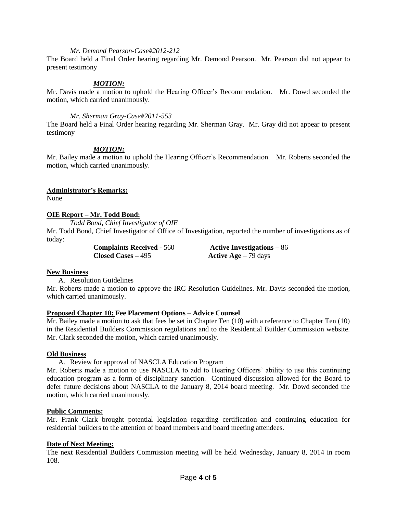#### *Mr. Demond Pearson-Case#2012-212*

The Board held a Final Order hearing regarding Mr. Demond Pearson. Mr. Pearson did not appear to present testimony

#### *MOTION:*

Mr. Davis made a motion to uphold the Hearing Officer's Recommendation. Mr. Dowd seconded the motion, which carried unanimously.

#### *Mr. Sherman Gray-Case#2011-553*

The Board held a Final Order hearing regarding Mr. Sherman Gray. Mr. Gray did not appear to present testimony

# *MOTION:*

Mr. Bailey made a motion to uphold the Hearing Officer's Recommendation. Mr. Roberts seconded the motion, which carried unanimously.

# **Administrator's Remarks:**

None

#### **OIE Report – Mr. Todd Bond:**

*Todd Bond, Chief Investigator of OIE*

Mr. Todd Bond, Chief Investigator of Office of Investigation, reported the number of investigations as of today:

> **Complaints Received -** 560 **Active Investigations –** 86 **Closed Cases –** 495 **Active Age** – 79 days

#### **New Business**

A. Resolution Guidelines

Mr. Roberts made a motion to approve the IRC Resolution Guidelines. Mr. Davis seconded the motion, which carried unanimously.

# **Proposed Chapter 10: Fee Placement Options – Advice Counsel**

Mr. Bailey made a motion to ask that fees be set in Chapter Ten (10) with a reference to Chapter Ten (10) in the Residential Builders Commission regulations and to the Residential Builder Commission website. Mr. Clark seconded the motion, which carried unanimously.

#### **Old Business**

A. Review for approval of NASCLA Education Program

Mr. Roberts made a motion to use NASCLA to add to Hearing Officers' ability to use this continuing education program as a form of disciplinary sanction. Continued discussion allowed for the Board to defer future decisions about NASCLA to the January 8, 2014 board meeting. Mr. Dowd seconded the motion, which carried unanimously.

#### **Public Comments:**

Mr. Frank Clark brought potential legislation regarding certification and continuing education for residential builders to the attention of board members and board meeting attendees.

#### **Date of Next Meeting:**

The next Residential Builders Commission meeting will be held Wednesday, January 8, 2014 in room 108.